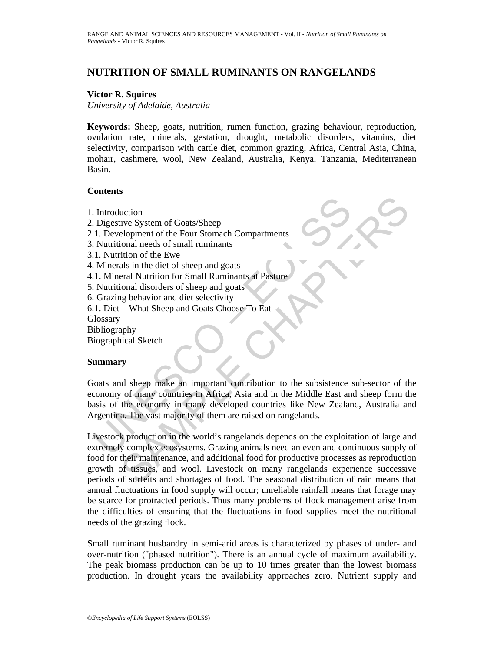# **NUTRITION OF SMALL RUMINANTS ON RANGELANDS**

#### **Victor R. Squires**

*University of Adelaide, Australia* 

**Keywords:** Sheep, goats, nutrition, rumen function, grazing behaviour, reproduction, ovulation rate, minerals, gestation, drought, metabolic disorders, vitamins, diet selectivity, comparison with cattle diet, common grazing, Africa, Central Asia, China, mohair, cashmere, wool, New Zealand, Australia, Kenya, Tanzania, Mediterranean Basin.

### **Contents**

- 1. Introduction
- 2. Digestive System of Goats/Sheep
- 2.1. Development of the Four Stomach Compartments
- 3. Nutritional needs of small ruminants
- 3.1. Nutrition of the Ewe
- 4. Minerals in the diet of sheep and goats
- 4.1. Mineral Nutrition for Small Ruminants at Pasture
- 5. Nutritional disorders of sheep and goats
- 6. Grazing behavior and diet selectivity
- 6.1. Diet What Sheep and Goats Choose To Eat

**Glossary** 

Bibliography

Biographical Sketch

### **Summary**

Controllation<br>
I. Digestive System of Goats/Sheep<br>
1. Development of the Four Stomach Compartments<br>
Nutritional needs of small ruminants<br>
1. Nutrition of the Ewe<br>
1. Murritional needs of small Ruminants at Pasture<br>
1. Minc Goats and sheep make an important contribution to the subsistence sub-sector of the economy of many countries in Africa, Asia and in the Middle East and sheep form the basis of the economy in many developed countries like New Zealand, Australia and Argentina. The vast majority of them are raised on rangelands.

Example the Four Stonagle of Goats (Sheep<br>
Elopment of the Four Stomach Compartments<br>
trition of the Ewe<br>
als in the diet of sheep and goats<br>
als in the diet of sheep and goats<br>
als in the diet of sheep and goats<br>
als in t Livestock production in the world's rangelands depends on the exploitation of large and extremely complex ecosystems. Grazing animals need an even and continuous supply of food for their maintenance, and additional food for productive processes as reproduction growth of tissues, and wool. Livestock on many rangelands experience successive periods of surfeits and shortages of food. The seasonal distribution of rain means that annual fluctuations in food supply will occur; unreliable rainfall means that forage may be scarce for protracted periods. Thus many problems of flock management arise from the difficulties of ensuring that the fluctuations in food supplies meet the nutritional needs of the grazing flock.

Small ruminant husbandry in semi-arid areas is characterized by phases of under- and over-nutrition ("phased nutrition"). There is an annual cycle of maximum availability. The peak biomass production can be up to 10 times greater than the lowest biomass production. In drought years the availability approaches zero. Nutrient supply and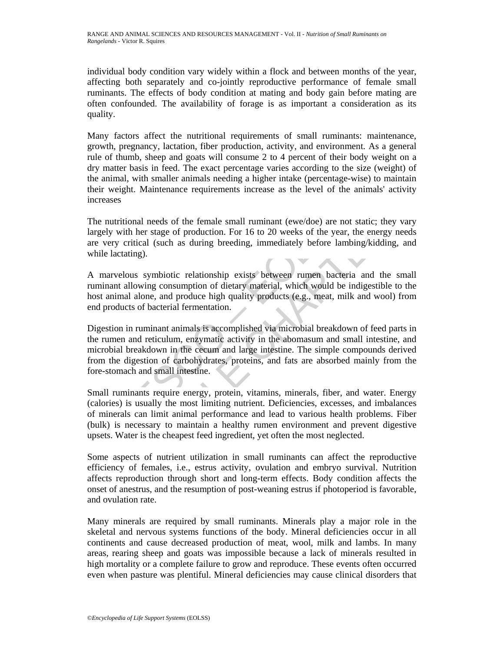individual body condition vary widely within a flock and between months of the year, affecting both separately and co-jointly reproductive performance of female small ruminants. The effects of body condition at mating and body gain before mating are often confounded. The availability of forage is as important a consideration as its quality.

Many factors affect the nutritional requirements of small ruminants: maintenance, growth, pregnancy, lactation, fiber production, activity, and environment. As a general rule of thumb, sheep and goats will consume 2 to 4 percent of their body weight on a dry matter basis in feed. The exact percentage varies according to the size (weight) of the animal, with smaller animals needing a higher intake (percentage-wise) to maintain their weight. Maintenance requirements increase as the level of the animals' activity increases

The nutritional needs of the female small ruminant (ewe/doe) are not static; they vary largely with her stage of production. For 16 to 20 weeks of the year, the energy needs are very critical (such as during breeding, immediately before lambing/kidding, and while lactating).

A marvelous symbiotic relationship exists between rumen bacteria and the small ruminant allowing consumption of dietary material, which would be indigestible to the host animal alone, and produce high quality products (e.g., meat, milk and wool) from end products of bacterial fermentation.

creases<br>
he nutritional needs of the female small ruminant (ewe/doe) are not<br>
rgely with her stage of production. For 16 to 20 weeks of the year,<br>
re very critical (such as during breeding, immediately before lamb<br>
hile la s<br>itional needs of the female small ruminant (ewe/doe) are not static; they var<br>vith her stage of production. For 16 to 20 weeks of the year, the energy need<br>critical (such as during breeding, immediately before lambing/ki Digestion in ruminant animals is accomplished via microbial breakdown of feed parts in the rumen and reticulum, enzymatic activity in the abomasum and small intestine, and microbial breakdown in the cecum and large intestine. The simple compounds derived from the digestion of carbohydrates, proteins, and fats are absorbed mainly from the fore-stomach and small intestine.

Small ruminants require energy, protein, vitamins, minerals, fiber, and water. Energy (calories) is usually the most limiting nutrient. Deficiencies, excesses, and imbalances of minerals can limit animal performance and lead to various health problems. Fiber (bulk) is necessary to maintain a healthy rumen environment and prevent digestive upsets. Water is the cheapest feed ingredient, yet often the most neglected.

Some aspects of nutrient utilization in small ruminants can affect the reproductive efficiency of females, i.e., estrus activity, ovulation and embryo survival. Nutrition affects reproduction through short and long-term effects. Body condition affects the onset of anestrus, and the resumption of post-weaning estrus if photoperiod is favorable, and ovulation rate.

Many minerals are required by small ruminants. Minerals play a major role in the skeletal and nervous systems functions of the body. Mineral deficiencies occur in all continents and cause decreased production of meat, wool, milk and lambs. In many areas, rearing sheep and goats was impossible because a lack of minerals resulted in high mortality or a complete failure to grow and reproduce. These events often occurred even when pasture was plentiful. Mineral deficiencies may cause clinical disorders that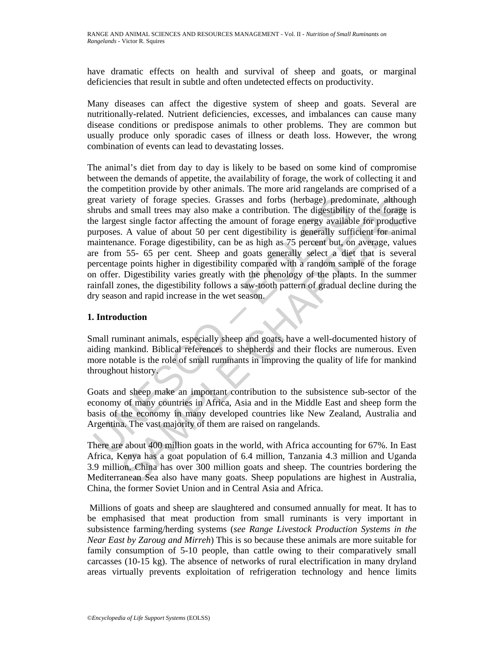have dramatic effects on health and survival of sheep and goats, or marginal deficiencies that result in subtle and often undetected effects on productivity.

Many diseases can affect the digestive system of sheep and goats. Several are nutritionally-related. Nutrient deficiencies, excesses, and imbalances can cause many disease conditions or predispose animals to other problems. They are common but usually produce only sporadic cases of illness or death loss. However, the wrong combination of events can lead to devastating losses.

reat variety of forage species. Grasses and forbs (herbage) predom<br>the largest single factor affecting the amount of forage energies in<br>genergies angle factor affecting the amount of forage energy available<br>urposes. A valu riety of forage species. Grasses and forbs (herbage) predominate, althouged small treas may also make a contribution. The digestibility of the forage of stiggle factor affecting the amount of forage cnergy available for pr The animal's diet from day to day is likely to be based on some kind of compromise between the demands of appetite, the availability of forage, the work of collecting it and the competition provide by other animals. The more arid rangelands are comprised of a great variety of forage species. Grasses and forbs (herbage) predominate, although shrubs and small trees may also make a contribution. The digestibility of the forage is the largest single factor affecting the amount of forage energy available for productive purposes. A value of about 50 per cent digestibility is generally sufficient for animal maintenance. Forage digestibility, can be as high as 75 percent but, on average, values are from 55- 65 per cent. Sheep and goats generally select a diet that is several percentage points higher in digestibility compared with a random sample of the forage on offer. Digestibility varies greatly with the phenology of the plants. In the summer rainfall zones, the digestibility follows a saw-tooth pattern of gradual decline during the dry season and rapid increase in the wet season.

## **1. Introduction**

Small ruminant animals, especially sheep and goats, have a well-documented history of aiding mankind. Biblical references to shepherds and their flocks are numerous. Even more notable is the role of small ruminants in improving the quality of life for mankind throughout history.

Goats and sheep make an important contribution to the subsistence sub-sector of the economy of many countries in Africa, Asia and in the Middle East and sheep form the basis of the economy in many developed countries like New Zealand, Australia and Argentina. The vast majority of them are raised on rangelands.

There are about 400 million goats in the world, with Africa accounting for 67%. In East Africa, Kenya has a goat population of 6.4 million, Tanzania 4.3 million and Uganda 3.9 million. China has over 300 million goats and sheep. The countries bordering the Mediterranean Sea also have many goats. Sheep populations are highest in Australia, China, the former Soviet Union and in Central Asia and Africa.

 Millions of goats and sheep are slaughtered and consumed annually for meat. It has to be emphasised that meat production from small ruminants is very important in subsistence farming/herding systems (*see Range Livestock Production Systems in the Near East by Zaroug and Mirreh*) This is so because these animals are more suitable for family consumption of 5-10 people, than cattle owing to their comparatively small carcasses (10-15 kg). The absence of networks of rural electrification in many dryland areas virtually prevents exploitation of refrigeration technology and hence limits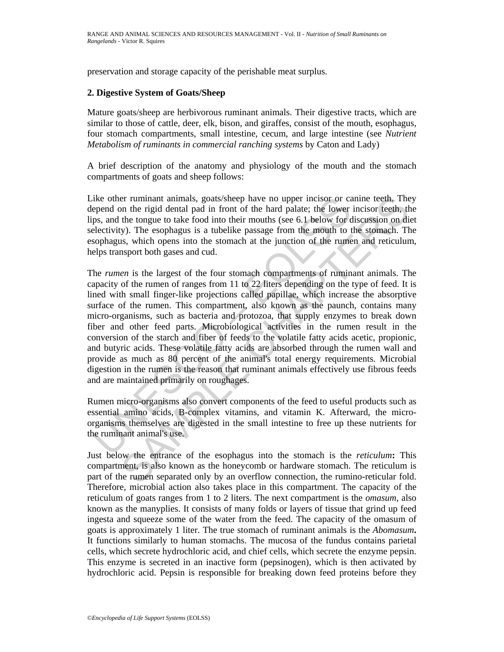preservation and storage capacity of the perishable meat surplus.

### **2. Digestive System of Goats/Sheep**

Mature goats/sheep are herbivorous ruminant animals. Their digestive tracts, which are similar to those of cattle, deer, elk, bison, and giraffes, consist of the mouth, esophagus, four stomach compartments, small intestine, cecum, and large intestine (see *Nutrient Metabolism of ruminants in commercial ranching systems* by Caton and Lady)

A brief description of the anatomy and physiology of the mouth and the stomach compartments of goats and sheep follows:

Like other ruminant animals, goats/sheep have no upper incisor or canine teeth. They depend on the rigid dental pad in front of the hard palate; the lower incisor teeth, the lips, and the tongue to take food into their mouths (see 6.1 below for discussion on diet selectivity). The esophagus is a tubelike passage from the mouth to the stomach. The esophagus, which opens into the stomach at the junction of the rumen and reticulum, helps transport both gases and cud.

ike other ruminant animals, goats/sheep have no upper incisor or car<br>epend on the rigid dental pad in front of the hard palate; the lower<br>ps, and the torage to take food into their mouths (see 6.1 below for<br>electivity). Th er ruminant animals, goats/sheep have no upper incisor or canine teeth. The<br>m the rigid dental pad in front of the hard palate; the lower incisor teeth, the<br>the tongue to take food into their mouths (see 6.1 below for disc The *rumen* is the largest of the four stomach compartments of ruminant animals. The capacity of the rumen of ranges from 11 to 22 liters depending on the type of feed. It is lined with small finger-like projections called papillae, which increase the absorptive surface of the rumen. This compartment, also known as the paunch, contains many micro-organisms, such as bacteria and protozoa, that supply enzymes to break down fiber and other feed parts. Microbiological activities in the rumen result in the conversion of the starch and fiber of feeds to the volatile fatty acids acetic, propionic, and butyric acids. These volatile fatty acids are absorbed through the rumen wall and provide as much as 80 percent of the animal's total energy requirements. Microbial digestion in the rumen is the reason that ruminant animals effectively use fibrous feeds and are maintained primarily on roughages.

Rumen micro-organisms also convert components of the feed to useful products such as essential amino acids, B-complex vitamins, and vitamin K. Afterward, the microorganisms themselves are digested in the small intestine to free up these nutrients for the ruminant animal's use.

Just below the entrance of the esophagus into the stomach is the *reticulum***:** This compartment, is also known as the honeycomb or hardware stomach. The reticulum is part of the rumen separated only by an overflow connection, the rumino-reticular fold. Therefore, microbial action also takes place in this compartment. The capacity of the reticulum of goats ranges from 1 to 2 liters. The next compartment is the *omasum*, also known as the manyplies. It consists of many folds or layers of tissue that grind up feed ingesta and squeeze some of the water from the feed. The capacity of the omasum of goats is approximately 1 liter. The true stomach of ruminant animals is the *Abomasum***.** It functions similarly to human stomachs. The mucosa of the fundus contains parietal cells, which secrete hydrochloric acid, and chief cells, which secrete the enzyme pepsin. This enzyme is secreted in an inactive form (pepsinogen), which is then activated by hydrochloric acid. Pepsin is responsible for breaking down feed proteins before they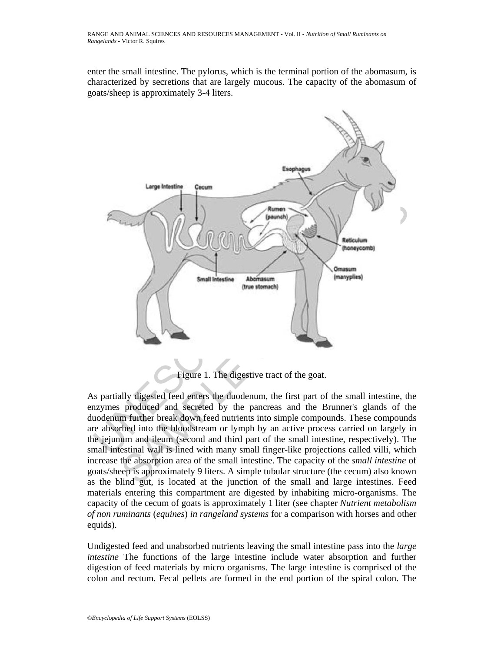enter the small intestine. The pylorus, which is the terminal portion of the abomasum, is characterized by secretions that are largely mucous. The capacity of the abomasum of goats/sheep is approximately 3-4 liters.



Figure 1. The digestive tract of the goat.

As partially digested feed enters the duodenum, the first part of the small intestine, the enzymes produced and secreted by the pancreas and the Brunner's glands of the duodenum further break down feed nutrients into simple compounds. These compounds are absorbed into the bloodstream or lymph by an active process carried on largely in the jejunum and ileum (second and third part of the small intestine, respectively). The small intestinal wall is lined with many small finger-like projections called villi, which increase the absorption area of the small intestine. The capacity of the *small intestine* of goats/sheep is approximately 9 liters. A simple tubular structure (the cecum) also known as the blind gut, is located at the junction of the small and large intestines. Feed materials entering this compartment are digested by inhabiting micro-organisms. The capacity of the cecum of goats is approximately 1 liter (see chapter *Nutrient metabolism of non ruminants* (*equines*) *in rangeland systems* for a comparison with horses and other equids).

Undigested feed and unabsorbed nutrients leaving the small intestine pass into the *large intestine* The functions of the large intestine include water absorption and further digestion of feed materials by micro organisms. The large intestine is comprised of the colon and rectum. Fecal pellets are formed in the end portion of the spiral colon. The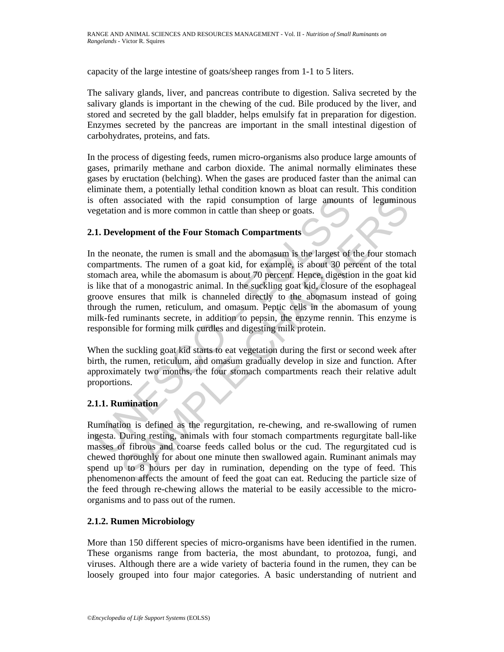capacity of the large intestine of goats/sheep ranges from 1-1 to 5 liters.

The salivary glands, liver, and pancreas contribute to digestion. Saliva secreted by the salivary glands is important in the chewing of the cud. Bile produced by the liver, and stored and secreted by the gall bladder, helps emulsify fat in preparation for digestion. Enzymes secreted by the pancreas are important in the small intestinal digestion of carbohydrates, proteins, and fats.

In the process of digesting feeds, rumen micro-organisms also produce large amounts of gases, primarily methane and carbon dioxide. The animal normally eliminates these gases by eructation (belching). When the gases are produced faster than the animal can eliminate them, a potentially lethal condition known as bloat can result. This condition is often associated with the rapid consumption of large amounts of leguminous vegetation and is more common in cattle than sheep or goats.

### **2.1. Development of the Four Stomach Compartments**

For associated with the rapid consumption of large amounts<br>egetation and is more common in cattle than sheep or goats.<br>
1. Development of the Four Stomach Compartments<br>
1. Development of the Four Stomach Compartments<br>
2. T associated with the rapid consumption of large amounts of leguminot<br>an and is more common in cattle than sheep or goats.<br> **elopment of the Four Stomach Compartments**<br>
conste, the rumen is small and the abomasum is the larg In the neonate, the rumen is small and the abomasum is the largest of the four stomach compartments. The rumen of a goat kid, for example, is about 30 percent of the total stomach area, while the abomasum is about 70 percent. Hence, digestion in the goat kid is like that of a monogastric animal. In the suckling goat kid, closure of the esophageal groove ensures that milk is channeled directly to the abomasum instead of going through the rumen, reticulum, and omasum. Peptic cells in the abomasum of young milk-fed ruminants secrete, in addition to pepsin, the enzyme rennin. This enzyme is responsible for forming milk curdles and digesting milk protein.

When the suckling goat kid starts to eat vegetation during the first or second week after birth, the rumen, reticulum, and omasum gradually develop in size and function. After approximately two months, the four stomach compartments reach their relative adult proportions.

### **2.1.1. Rumination**

Rumination is defined as the regurgitation, re-chewing, and re-swallowing of rumen ingesta. During resting, animals with four stomach compartments regurgitate ball-like masses of fibrous and coarse feeds called bolus or the cud. The regurgitated cud is chewed thoroughly for about one minute then swallowed again. Ruminant animals may spend up to 8 hours per day in rumination, depending on the type of feed. This phenomenon affects the amount of feed the goat can eat. Reducing the particle size of the feed through re-chewing allows the material to be easily accessible to the microorganisms and to pass out of the rumen.

### **2.1.2. Rumen Microbiology**

More than 150 different species of micro-organisms have been identified in the rumen. These organisms range from bacteria, the most abundant, to protozoa, fungi, and viruses. Although there are a wide variety of bacteria found in the rumen, they can be loosely grouped into four major categories. A basic understanding of nutrient and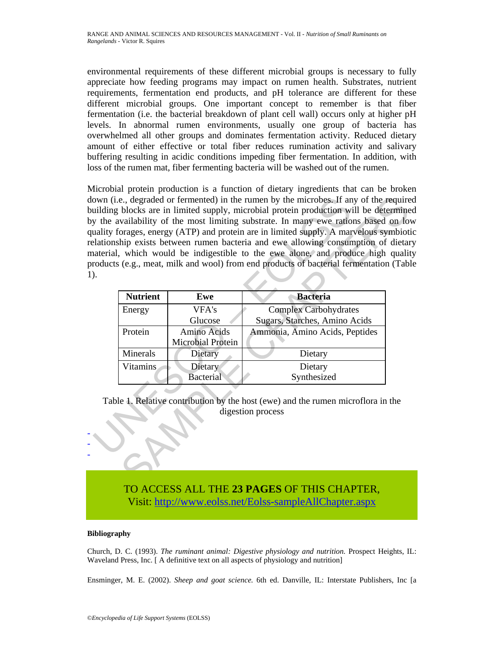environmental requirements of these different microbial groups is necessary to fully appreciate how feeding programs may impact on rumen health. Substrates, nutrient requirements, fermentation end products, and pH tolerance are different for these different microbial groups. One important concept to remember is that fiber fermentation (i.e. the bacterial breakdown of plant cell wall) occurs only at higher pH levels. In abnormal rumen environments, usually one group of bacteria has overwhelmed all other groups and dominates fermentation activity. Reduced dietary amount of either effective or total fiber reduces rumination activity and salivary buffering resulting in acidic conditions impeding fiber fermentation. In addition, with loss of the rumen mat, fiber fermenting bacteria will be washed out of the rumen.

Microbial protein production is a function of dietary ingredients that can be broken down (i.e., degraded or fermented) in the rumen by the microbes. If any of the required building blocks are in limited supply, microbial protein production will be determined by the availability of the most limiting substrate. In many ewe rations based on low quality forages, energy (ATP) and protein are in limited supply. A marvelous symbiotic relationship exists between rumen bacteria and ewe allowing consumption of dietary material, which would be indigestible to the ewe alone, and produce high quality products (e.g., meat, milk and wool) from end products of bacterial fermentation (Table 1).

| own (i.e., degraded or fermented) in the rumen by the microbes. If any of the require<br>uilding blocks are in limited supply, microbial protein production will be determine<br>y the availability of the most limiting substrate. In many ewe rations based on lot<br>uality forages, energy (ATP) and protein are in limited supply. A marvelous symbioti<br>elationship exists between rumen bacteria and ewe allowing consumption of dietar<br>naterial, which would be indigestible to the ewe alone, and produce high qualit<br>roducts (e.g., meat, milk and wool) from end products of bacterial fermentation (Tabl |                 |                   |                                |  |
|------------------------------------------------------------------------------------------------------------------------------------------------------------------------------------------------------------------------------------------------------------------------------------------------------------------------------------------------------------------------------------------------------------------------------------------------------------------------------------------------------------------------------------------------------------------------------------------------------------------------------|-----------------|-------------------|--------------------------------|--|
|                                                                                                                                                                                                                                                                                                                                                                                                                                                                                                                                                                                                                              | <b>Nutrient</b> | Ewe               | <b>Bacteria</b>                |  |
|                                                                                                                                                                                                                                                                                                                                                                                                                                                                                                                                                                                                                              | Energy          | VFA's             | <b>Complex Carbohydrates</b>   |  |
|                                                                                                                                                                                                                                                                                                                                                                                                                                                                                                                                                                                                                              |                 | Glucose           | Sugars, Starches, Amino Acids  |  |
|                                                                                                                                                                                                                                                                                                                                                                                                                                                                                                                                                                                                                              | Protein         | Amino Acids       | Ammonia, Amino Acids, Peptides |  |
|                                                                                                                                                                                                                                                                                                                                                                                                                                                                                                                                                                                                                              |                 | Microbial Protein |                                |  |
|                                                                                                                                                                                                                                                                                                                                                                                                                                                                                                                                                                                                                              | Minerals        | Dietary           | Dietary                        |  |
|                                                                                                                                                                                                                                                                                                                                                                                                                                                                                                                                                                                                                              | <b>Vitamins</b> | Dietary           | Dietary                        |  |
|                                                                                                                                                                                                                                                                                                                                                                                                                                                                                                                                                                                                                              |                 | Bacterial         | Synthesized                    |  |
| Table 1. Relative contribution by the host (ewe) and the rumen microflora in the<br>digestion process                                                                                                                                                                                                                                                                                                                                                                                                                                                                                                                        |                 |                   |                                |  |
|                                                                                                                                                                                                                                                                                                                                                                                                                                                                                                                                                                                                                              |                 |                   |                                |  |

TO ACCESS ALL THE **23 PAGES** OF THIS CHAPTER, Vis[it: http://www.eolss.net/Eolss-sampleAllChapter.aspx](https://www.eolss.net/ebooklib/sc_cart.aspx?File=E5-35-14)

#### **Bibliography**

- - -

Church, D. C. (1993). *The ruminant animal: Digestive physiology and nutrition.* Prospect Heights, IL: Waveland Press, Inc. [ A definitive text on all aspects of physiology and nutrition]

Ensminger, M. E. (2002). *Sheep and goat science.* 6th ed. Danville, IL: Interstate Publishers, Inc [a